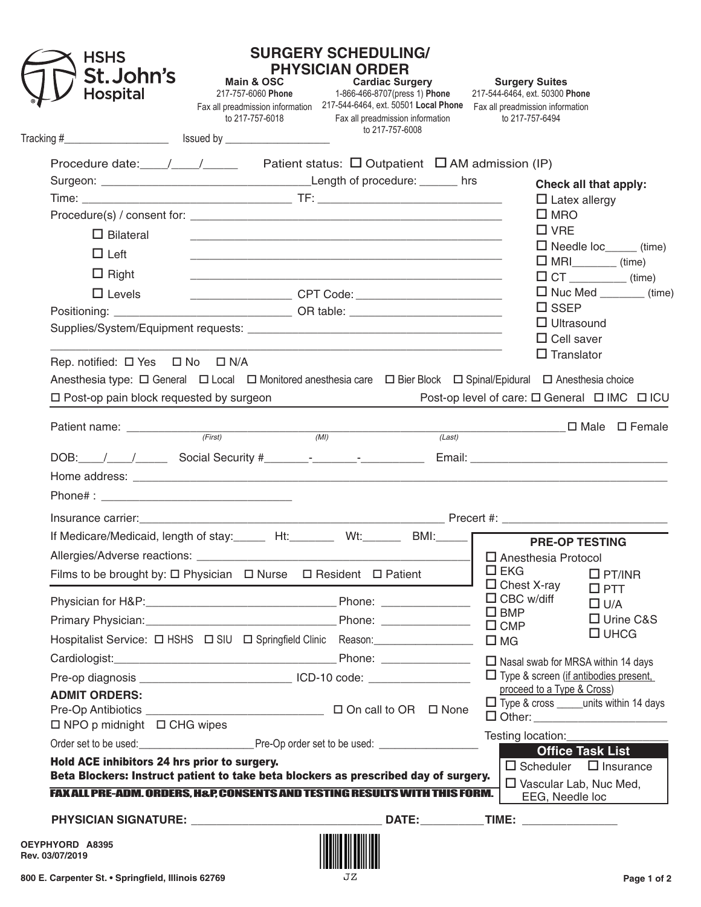| <b>HSHS</b><br><b>St.John's</b><br><b>Hospital</b> | <b>SURGERY SCHEDULING/</b><br><b>PHYSICIAN ORDER</b><br>Main & OSC<br><b>Main &amp; OSC Cardiac Surgery</b><br>217-757-6060 Phone 1-866-466-8707(press 1) Phone<br>Fax all preadmission information 217-544-6464, ext. 50501 Local Phone<br>to 217-757-6018 | <b>Cardiac Surgery</b><br>Fax all preadmission information | <b>Surgery Suites</b><br>217-544-6464, ext. 50300 Phone<br>Fax all preadmission information<br>to 217-757-6494 |                             |
|----------------------------------------------------|-------------------------------------------------------------------------------------------------------------------------------------------------------------------------------------------------------------------------------------------------------------|------------------------------------------------------------|----------------------------------------------------------------------------------------------------------------|-----------------------------|
|                                                    |                                                                                                                                                                                                                                                             | to 217-757-6008                                            |                                                                                                                |                             |
|                                                    | Procedure date: $\_\_\_\_\_\_\_\_\_\_\$ Patient status: $\Box$ Outpatient $\Box$ AM admission (IP)                                                                                                                                                          |                                                            |                                                                                                                |                             |
|                                                    |                                                                                                                                                                                                                                                             |                                                            | Check all that apply:                                                                                          |                             |
|                                                    |                                                                                                                                                                                                                                                             |                                                            | $\Box$ Latex allergy                                                                                           |                             |
|                                                    |                                                                                                                                                                                                                                                             |                                                            | $\square$ MRO                                                                                                  |                             |
| $\Box$ Bilateral                                   |                                                                                                                                                                                                                                                             |                                                            | $\square$ VRE                                                                                                  |                             |
| $\Box$ Left                                        |                                                                                                                                                                                                                                                             |                                                            | $\Box$ Needle loc______ (time)                                                                                 |                             |
| $\Box$ Right                                       |                                                                                                                                                                                                                                                             |                                                            | $\Box$ MRI $\_\_\_\_\_\_\$ (time)<br>$\Box$ CT ______________(time)                                            |                             |
| $\Box$ Levels                                      |                                                                                                                                                                                                                                                             |                                                            | $\Box$ Nuc Med (time)                                                                                          |                             |
|                                                    |                                                                                                                                                                                                                                                             |                                                            | $\square$ SSEP                                                                                                 |                             |
|                                                    |                                                                                                                                                                                                                                                             |                                                            | $\Box$ Ultrasound                                                                                              |                             |
|                                                    |                                                                                                                                                                                                                                                             |                                                            | $\Box$ Cell saver<br>$\Box$ Translator                                                                         |                             |
|                                                    |                                                                                                                                                                                                                                                             | (Last)                                                     |                                                                                                                | □ Male □ Female             |
|                                                    |                                                                                                                                                                                                                                                             |                                                            |                                                                                                                |                             |
|                                                    |                                                                                                                                                                                                                                                             |                                                            |                                                                                                                |                             |
|                                                    | If Medicare/Medicaid, length of stay:______ Ht:_______ Wt:______ BMI:_____ FRE-OP TESTING                                                                                                                                                                   |                                                            |                                                                                                                |                             |
|                                                    |                                                                                                                                                                                                                                                             |                                                            | □ Anesthesia Protocol                                                                                          |                             |
|                                                    | Films to be brought by: $\Box$ Physician $\Box$ Nurse $\Box$ Resident $\Box$ Patient                                                                                                                                                                        |                                                            | $\square$ EKG<br>$\Box$ Chest X-ray                                                                            | $\Box$ PT/INR               |
|                                                    |                                                                                                                                                                                                                                                             |                                                            | $\Box$ CBC w/diff                                                                                              | $\square$ PTT<br>$\Box$ U/A |
|                                                    |                                                                                                                                                                                                                                                             |                                                            | $\square$ BMP                                                                                                  | □ Urine C&S                 |
|                                                    |                                                                                                                                                                                                                                                             |                                                            | $\Box$ CMP<br>$\square$ MG                                                                                     | $\square$ UHCG              |
|                                                    |                                                                                                                                                                                                                                                             |                                                            | □ Nasal swab for MRSA within 14 days                                                                           |                             |
|                                                    | Pre-op diagnosis _____________________________ ICD-10 code: ____________________                                                                                                                                                                            |                                                            | $\Box$ Type & screen (if antibodies present,                                                                   |                             |
| <b>ADMIT ORDERS:</b>                               |                                                                                                                                                                                                                                                             |                                                            | proceed to a Type & Cross)                                                                                     |                             |
|                                                    |                                                                                                                                                                                                                                                             |                                                            | □ Type & cross _____units within 14 days<br>□ Other: _________________________                                 |                             |
| $\Box$ NPO p midnight $\Box$ CHG wipes             |                                                                                                                                                                                                                                                             |                                                            | Testing location:_______________                                                                               |                             |
|                                                    |                                                                                                                                                                                                                                                             |                                                            | <b>Office Task List</b>                                                                                        |                             |
| Hold ACE inhibitors 24 hrs prior to surgery.       | Beta Blockers: Instruct patient to take beta blockers as prescribed day of surgery.                                                                                                                                                                         |                                                            | $\Box$ Scheduler $\Box$ Insurance<br>$\Box$ Vascular Lab, Nuc Med,                                             |                             |
|                                                    | FAX ALL PRE-ADM. ORDERS, H&P, CONSENTS AND TESTING RESULTS WITH THIS FORM.                                                                                                                                                                                  |                                                            | EEG, Needle loc                                                                                                |                             |
|                                                    |                                                                                                                                                                                                                                                             |                                                            |                                                                                                                |                             |
| OEYPHYORD A8395<br>Rev. 03/07/2019                 |                                                                                                                                                                                                                                                             |                                                            |                                                                                                                |                             |
| 800 E. Carpenter St. • Springfield, Illinois 62769 | JZ.                                                                                                                                                                                                                                                         |                                                            |                                                                                                                | Page 1 of 2                 |